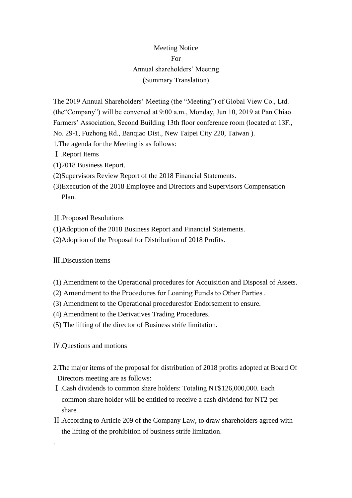## Meeting Notice For Annual shareholders' Meeting (Summary Translation)

The 2019 Annual Shareholders' Meeting (the "Meeting") of Global View Co., Ltd. (the"Company") will be convened at 9:00 a.m., Monday, Jun 10, 2019 at Pan Chiao Farmers' Association, Second Building 13th floor conference room (located at 13F., No. 29-1, Fuzhong Rd., Banqiao Dist., New Taipei City 220, Taiwan ).

- 1.The agenda for the Meeting is as follows:
- Ⅰ.Report Items
- (1)2018 Business Report.
- (2)Supervisors Review Report of the 2018 Financial Statements.
- (3)Execution of the 2018 Employee and Directors and Supervisors Compensation Plan.
- Ⅱ.Proposed Resolutions
- (1)Adoption of the 2018 Business Report and Financial Statements.
- (2)Adoption of the Proposal for Distribution of 2018 Profits.

Ⅲ.Discussion items

- (1) Amendment to the Operational procedures for Acquisition and Disposal of Assets.
- (2) Amendment to the Procedures for Loaning Funds to Other Parties .
- (3) Amendment to the Operational proceduresfor Endorsement to ensure.
- (4) Amendment to the Derivatives Trading Procedures.
- (5) The lifting of the director of Business strife limitation.

Ⅳ.Questions and motions

.

- 2.The major items of the proposal for distribution of 2018 profits adopted at Board Of Directors meeting are as follows:
- Ⅰ.Cash dividends to common share holders: Totaling NT\$126,000,000. Each common share holder will be entitled to receive a cash dividend for NT2 per share .
- Ⅱ.According to Article 209 of the Company Law, to draw shareholders agreed with the lifting of the prohibition of business strife limitation.